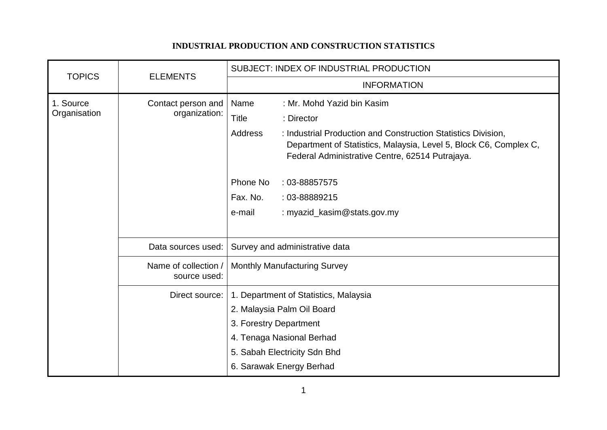## **INDUSTRIAL PRODUCTION AND CONSTRUCTION STATISTICS**

| <b>TOPICS</b>             | <b>ELEMENTS</b>                      | SUBJECT: INDEX OF INDUSTRIAL PRODUCTION                                                                                                                                                                 |
|---------------------------|--------------------------------------|---------------------------------------------------------------------------------------------------------------------------------------------------------------------------------------------------------|
|                           |                                      | <b>INFORMATION</b>                                                                                                                                                                                      |
| 1. Source<br>Organisation | Contact person and<br>organization:  | Name<br>: Mr. Mohd Yazid bin Kasim                                                                                                                                                                      |
|                           |                                      | <b>Title</b><br>: Director                                                                                                                                                                              |
|                           |                                      | <b>Address</b><br>: Industrial Production and Construction Statistics Division,<br>Department of Statistics, Malaysia, Level 5, Block C6, Complex C,<br>Federal Administrative Centre, 62514 Putrajaya. |
|                           |                                      | Phone No<br>: 03-88857575                                                                                                                                                                               |
|                           |                                      | Fax. No.<br>: 03-88889215                                                                                                                                                                               |
|                           |                                      | : myazid_kasim@stats.gov.my<br>e-mail                                                                                                                                                                   |
|                           |                                      |                                                                                                                                                                                                         |
|                           | Data sources used:                   | Survey and administrative data                                                                                                                                                                          |
|                           | Name of collection /<br>source used: | <b>Monthly Manufacturing Survey</b>                                                                                                                                                                     |
|                           | Direct source:                       | 1. Department of Statistics, Malaysia                                                                                                                                                                   |
|                           |                                      | 2. Malaysia Palm Oil Board                                                                                                                                                                              |
|                           |                                      | 3. Forestry Department                                                                                                                                                                                  |
|                           |                                      | 4. Tenaga Nasional Berhad                                                                                                                                                                               |
|                           |                                      | 5. Sabah Electricity Sdn Bhd                                                                                                                                                                            |
|                           |                                      | 6. Sarawak Energy Berhad                                                                                                                                                                                |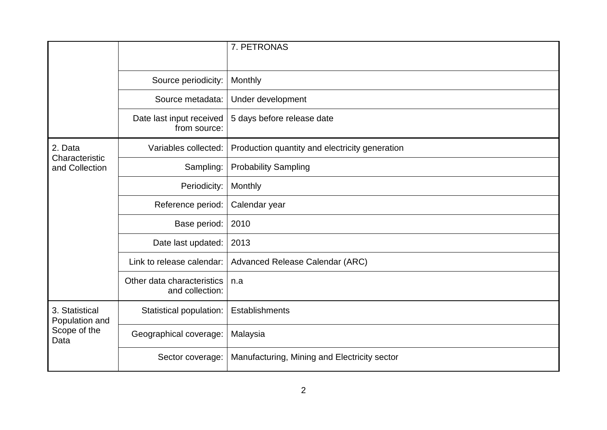|                                                          |                                               | 7. PETRONAS                                    |
|----------------------------------------------------------|-----------------------------------------------|------------------------------------------------|
|                                                          | Source periodicity:                           | Monthly                                        |
|                                                          | Source metadata:                              | Under development                              |
|                                                          | Date last input received<br>from source:      | 5 days before release date                     |
| 2. Data<br>Characteristic<br>and Collection              | Variables collected:                          | Production quantity and electricity generation |
|                                                          | Sampling:                                     | <b>Probability Sampling</b>                    |
|                                                          | Periodicity:                                  | Monthly                                        |
|                                                          | Reference period:                             | Calendar year                                  |
|                                                          | Base period:                                  | 2010                                           |
|                                                          | Date last updated:                            | 2013                                           |
|                                                          | Link to release calendar:                     | Advanced Release Calendar (ARC)                |
|                                                          | Other data characteristics<br>and collection: | n.a                                            |
| 3. Statistical<br>Population and<br>Scope of the<br>Data | Statistical population:                       | Establishments                                 |
|                                                          | Geographical coverage:                        | Malaysia                                       |
|                                                          | Sector coverage:                              | Manufacturing, Mining and Electricity sector   |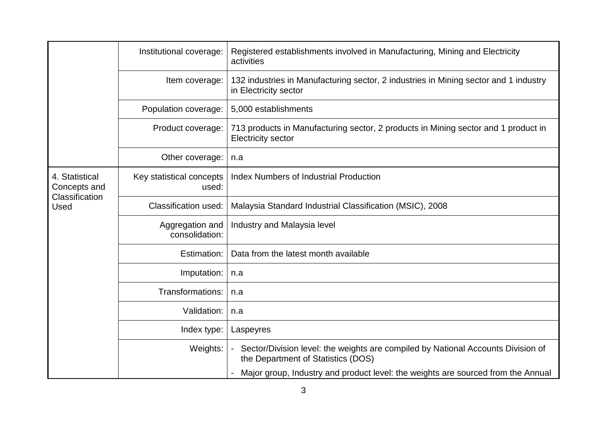|                                                          | Institutional coverage:           | Registered establishments involved in Manufacturing, Mining and Electricity<br>activities                                |
|----------------------------------------------------------|-----------------------------------|--------------------------------------------------------------------------------------------------------------------------|
|                                                          | Item coverage:                    | 132 industries in Manufacturing sector, 2 industries in Mining sector and 1 industry<br>in Electricity sector            |
|                                                          | Population coverage:              | 5,000 establishments                                                                                                     |
|                                                          | Product coverage:                 | 713 products in Manufacturing sector, 2 products in Mining sector and 1 product in<br><b>Electricity sector</b>          |
|                                                          | Other coverage:                   | n.a                                                                                                                      |
| 4. Statistical<br>Concepts and<br>Classification<br>Used | Key statistical concepts<br>used: | <b>Index Numbers of Industrial Production</b>                                                                            |
|                                                          | <b>Classification used:</b>       | Malaysia Standard Industrial Classification (MSIC), 2008                                                                 |
|                                                          | Aggregation and<br>consolidation: | Industry and Malaysia level                                                                                              |
|                                                          | Estimation:                       | Data from the latest month available                                                                                     |
|                                                          | Imputation:                       | n.a                                                                                                                      |
|                                                          | Transformations:                  | n.a                                                                                                                      |
|                                                          | Validation:                       | n.a                                                                                                                      |
|                                                          | Index type:                       | Laspeyres                                                                                                                |
|                                                          | Weights:                          | - Sector/Division level: the weights are compiled by National Accounts Division of<br>the Department of Statistics (DOS) |
|                                                          |                                   | Major group, Industry and product level: the weights are sourced from the Annual                                         |